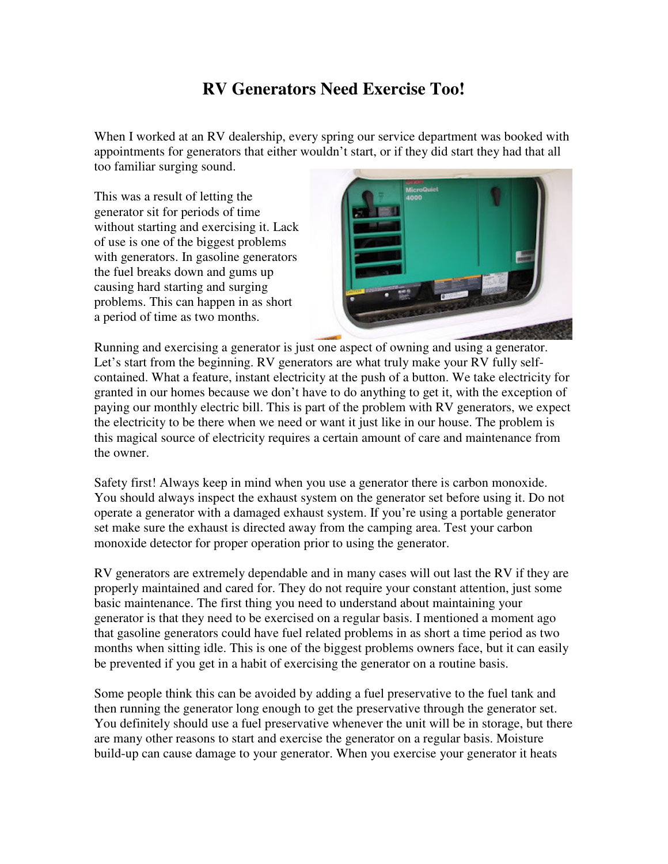## **RV Generators Need Exercise Too!**

When I worked at an RV dealership, every spring our service department was booked with appointments for generators that either wouldn't start, or if they did start they had that all too familiar surging sound.

This was a result of letting the generator sit for periods of time without starting and exercising it. Lack of use is one of the biggest problems with generators. In gasoline generators the fuel breaks down and gums up causing hard starting and surging problems. This can happen in as short a period of time as two months.



Running and exercising a generator is just one aspect of owning and using a generator. Let's start from the beginning. RV generators are what truly make your RV fully selfcontained. What a feature, instant electricity at the push of a button. We take electricity for granted in our homes because we don't have to do anything to get it, with the exception of paying our monthly electric bill. This is part of the problem with RV generators, we expect the electricity to be there when we need or want it just like in our house. The problem is this magical source of electricity requires a certain amount of care and maintenance from the owner.

Safety first! Always keep in mind when you use a generator there is carbon monoxide. You should always inspect the exhaust system on the generator set before using it. Do not operate a generator with a damaged exhaust system. If you're using a portable generator set make sure the exhaust is directed away from the camping area. Test your carbon monoxide detector for proper operation prior to using the generator.

RV generators are extremely dependable and in many cases will out last the RV if they are properly maintained and cared for. They do not require your constant attention, just some basic maintenance. The first thing you need to understand about maintaining your generator is that they need to be exercised on a regular basis. I mentioned a moment ago that gasoline generators could have fuel related problems in as short a time period as two months when sitting idle. This is one of the biggest problems owners face, but it can easily be prevented if you get in a habit of exercising the generator on a routine basis.

Some people think this can be avoided by adding a fuel preservative to the fuel tank and then running the generator long enough to get the preservative through the generator set. You definitely should use a fuel preservative whenever the unit will be in storage, but there are many other reasons to start and exercise the generator on a regular basis. Moisture build-up can cause damage to your generator. When you exercise your generator it heats